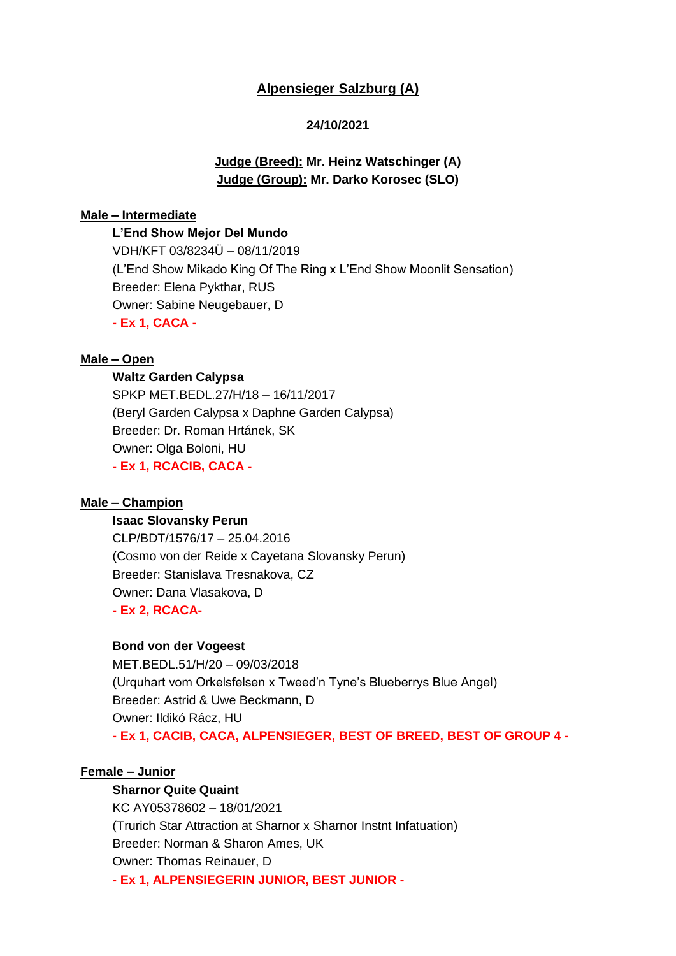# **Alpensieger Salzburg (A)**

## **24/10/2021**

# **Judge (Breed): Mr. Heinz Watschinger (A) Judge (Group): Mr. Darko Korosec (SLO)**

#### **Male – Intermediate**

**L'End Show Mejor Del Mundo** VDH/KFT 03/8234Ü – 08/11/2019 (L'End Show Mikado King Of The Ring x L'End Show Moonlit Sensation) Breeder: Elena Pykthar, RUS Owner: Sabine Neugebauer, D **- Ex 1, CACA -**

### **Male – Open**

#### **Waltz Garden Calypsa**

SPKP MET.BEDL.27/H/18 – 16/11/2017 (Beryl Garden Calypsa x Daphne Garden Calypsa) Breeder: Dr. Roman Hrtánek, SK Owner: Olga Boloni, HU **- Ex 1, RCACIB, CACA -**

### **Male – Champion**

#### **Isaac Slovansky Perun**

CLP/BDT/1576/17 – 25.04.2016 (Cosmo von der Reide x Cayetana Slovansky Perun) Breeder: Stanislava Tresnakova, CZ Owner: Dana Vlasakova, D **- Ex 2, RCACA-**

#### **Bond von der Vogeest**

MET.BEDL.51/H/20 – 09/03/2018 (Urquhart vom Orkelsfelsen x Tweed'n Tyne's Blueberrys Blue Angel) Breeder: Astrid & Uwe Beckmann, D Owner: Ildikó Rácz, HU **- Ex 1, CACIB, CACA, ALPENSIEGER, BEST OF BREED, BEST OF GROUP 4 -**

## **Female – Junior**

# **Sharnor Quite Quaint**

KC AY05378602 – 18/01/2021 (Trurich Star Attraction at Sharnor x Sharnor Instnt Infatuation) Breeder: Norman & Sharon Ames, UK Owner: Thomas Reinauer, D **- Ex 1, ALPENSIEGERIN JUNIOR, BEST JUNIOR -**